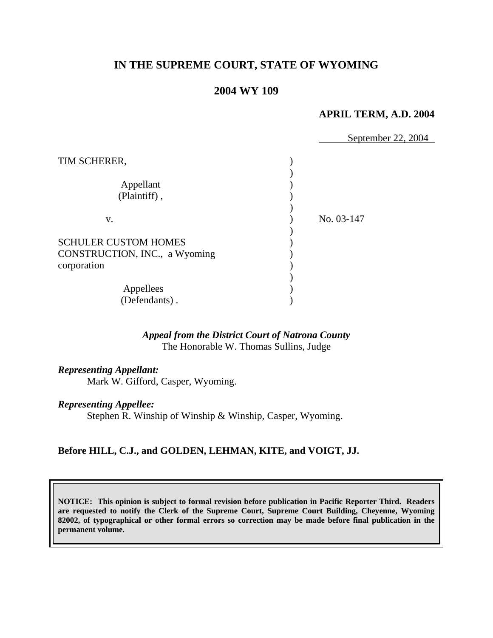# **IN THE SUPREME COURT, STATE OF WYOMING**

# **2004 WY 109**

#### **APRIL TERM, A.D. 2004**

|                               | September 22, 2004 |
|-------------------------------|--------------------|
| TIM SCHERER,                  |                    |
|                               |                    |
| Appellant                     |                    |
| (Plaintiff),                  |                    |
|                               |                    |
| V.                            | No. 03-147         |
|                               |                    |
| <b>SCHULER CUSTOM HOMES</b>   |                    |
| CONSTRUCTION, INC., a Wyoming |                    |
| corporation                   |                    |
|                               |                    |
| Appellees                     |                    |
| (Defendants).                 |                    |

## *Appeal from the District Court of Natrona County* The Honorable W. Thomas Sullins, Judge

#### *Representing Appellant:*

Mark W. Gifford, Casper, Wyoming.

#### *Representing Appellee:*

Stephen R. Winship of Winship & Winship, Casper, Wyoming.

### **Before HILL, C.J., and GOLDEN, LEHMAN, KITE, and VOIGT, JJ.**

**NOTICE: This opinion is subject to formal revision before publication in Pacific Reporter Third. Readers are requested to notify the Clerk of the Supreme Court, Supreme Court Building, Cheyenne, Wyoming 82002, of typographical or other formal errors so correction may be made before final publication in the permanent volume.**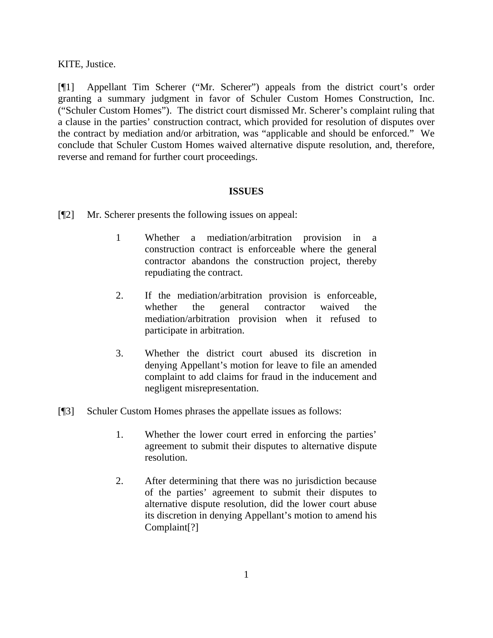KITE, Justice.

[¶1] Appellant Tim Scherer ("Mr. Scherer") appeals from the district court's order granting a summary judgment in favor of Schuler Custom Homes Construction, Inc. ("Schuler Custom Homes"). The district court dismissed Mr. Scherer's complaint ruling that a clause in the parties' construction contract, which provided for resolution of disputes over the contract by mediation and/or arbitration, was "applicable and should be enforced." We conclude that Schuler Custom Homes waived alternative dispute resolution, and, therefore, reverse and remand for further court proceedings.

## **ISSUES**

- [¶2] Mr. Scherer presents the following issues on appeal:
	- 1 Whether a mediation/arbitration provision in a construction contract is enforceable where the general contractor abandons the construction project, thereby repudiating the contract.
	- 2. If the mediation/arbitration provision is enforceable, whether the general contractor waived the mediation/arbitration provision when it refused to participate in arbitration.
	- 3. Whether the district court abused its discretion in denying Appellant's motion for leave to file an amended complaint to add claims for fraud in the inducement and negligent misrepresentation.
- [¶3] Schuler Custom Homes phrases the appellate issues as follows:
	- 1. Whether the lower court erred in enforcing the parties' agreement to submit their disputes to alternative dispute resolution.
	- 2. After determining that there was no jurisdiction because of the parties' agreement to submit their disputes to alternative dispute resolution, did the lower court abuse its discretion in denying Appellant's motion to amend his Complaint[?]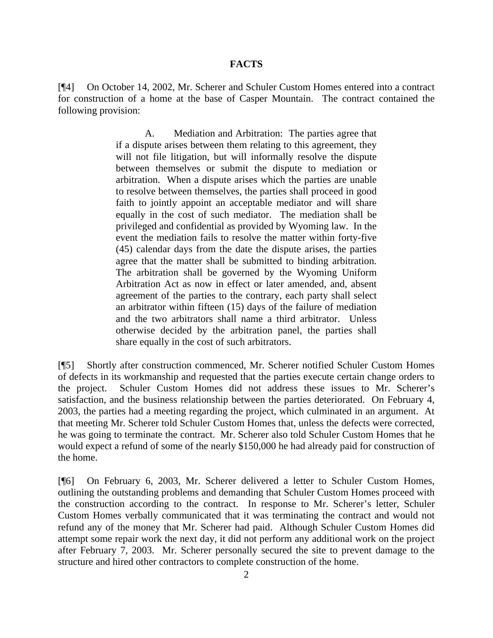#### **FACTS**

[¶4] On October 14, 2002, Mr. Scherer and Schuler Custom Homes entered into a contract for construction of a home at the base of Casper Mountain. The contract contained the following provision:

> A. Mediation and Arbitration: The parties agree that if a dispute arises between them relating to this agreement, they will not file litigation, but will informally resolve the dispute between themselves or submit the dispute to mediation or arbitration. When a dispute arises which the parties are unable to resolve between themselves, the parties shall proceed in good faith to jointly appoint an acceptable mediator and will share equally in the cost of such mediator. The mediation shall be privileged and confidential as provided by Wyoming law. In the event the mediation fails to resolve the matter within forty-five (45) calendar days from the date the dispute arises, the parties agree that the matter shall be submitted to binding arbitration. The arbitration shall be governed by the Wyoming Uniform Arbitration Act as now in effect or later amended, and, absent agreement of the parties to the contrary, each party shall select an arbitrator within fifteen (15) days of the failure of mediation and the two arbitrators shall name a third arbitrator. Unless otherwise decided by the arbitration panel, the parties shall share equally in the cost of such arbitrators.

[¶5] Shortly after construction commenced, Mr. Scherer notified Schuler Custom Homes of defects in its workmanship and requested that the parties execute certain change orders to the project. Schuler Custom Homes did not address these issues to Mr. Scherer's satisfaction, and the business relationship between the parties deteriorated. On February 4, 2003, the parties had a meeting regarding the project, which culminated in an argument. At that meeting Mr. Scherer told Schuler Custom Homes that, unless the defects were corrected, he was going to terminate the contract. Mr. Scherer also told Schuler Custom Homes that he would expect a refund of some of the nearly \$150,000 he had already paid for construction of the home.

[¶6] On February 6, 2003, Mr. Scherer delivered a letter to Schuler Custom Homes, outlining the outstanding problems and demanding that Schuler Custom Homes proceed with the construction according to the contract. In response to Mr. Scherer's letter, Schuler Custom Homes verbally communicated that it was terminating the contract and would not refund any of the money that Mr. Scherer had paid. Although Schuler Custom Homes did attempt some repair work the next day, it did not perform any additional work on the project after February 7, 2003. Mr. Scherer personally secured the site to prevent damage to the structure and hired other contractors to complete construction of the home.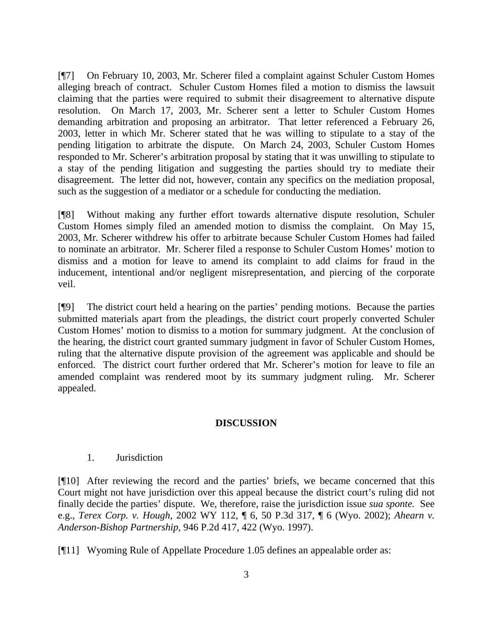[¶7] On February 10, 2003, Mr. Scherer filed a complaint against Schuler Custom Homes alleging breach of contract. Schuler Custom Homes filed a motion to dismiss the lawsuit claiming that the parties were required to submit their disagreement to alternative dispute resolution. On March 17, 2003, Mr. Scherer sent a letter to Schuler Custom Homes demanding arbitration and proposing an arbitrator. That letter referenced a February 26, 2003, letter in which Mr. Scherer stated that he was willing to stipulate to a stay of the pending litigation to arbitrate the dispute. On March 24, 2003, Schuler Custom Homes responded to Mr. Scherer's arbitration proposal by stating that it was unwilling to stipulate to a stay of the pending litigation and suggesting the parties should try to mediate their disagreement. The letter did not, however, contain any specifics on the mediation proposal, such as the suggestion of a mediator or a schedule for conducting the mediation.

[¶8] Without making any further effort towards alternative dispute resolution, Schuler Custom Homes simply filed an amended motion to dismiss the complaint. On May 15, 2003, Mr. Scherer withdrew his offer to arbitrate because Schuler Custom Homes had failed to nominate an arbitrator. Mr. Scherer filed a response to Schuler Custom Homes' motion to dismiss and a motion for leave to amend its complaint to add claims for fraud in the inducement, intentional and/or negligent misrepresentation, and piercing of the corporate veil.

[¶9] The district court held a hearing on the parties' pending motions. Because the parties submitted materials apart from the pleadings, the district court properly converted Schuler Custom Homes' motion to dismiss to a motion for summary judgment. At the conclusion of the hearing, the district court granted summary judgment in favor of Schuler Custom Homes, ruling that the alternative dispute provision of the agreement was applicable and should be enforced. The district court further ordered that Mr. Scherer's motion for leave to file an amended complaint was rendered moot by its summary judgment ruling. Mr. Scherer appealed.

### **DISCUSSION**

### 1. Jurisdiction

[¶10] After reviewing the record and the parties' briefs, we became concerned that this Court might not have jurisdiction over this appeal because the district court's ruling did not finally decide the parties' dispute. We, therefore, raise the jurisdiction issue *sua sponte.* See e.g., *Terex Corp. v. Hough,* 2002 WY 112, ¶ 6, 50 P.3d 317, ¶ 6 (Wyo. 2002); *Ahearn v. Anderson-Bishop Partnership,* 946 P.2d 417, 422 (Wyo. 1997).

[¶11] Wyoming Rule of Appellate Procedure 1.05 defines an appealable order as: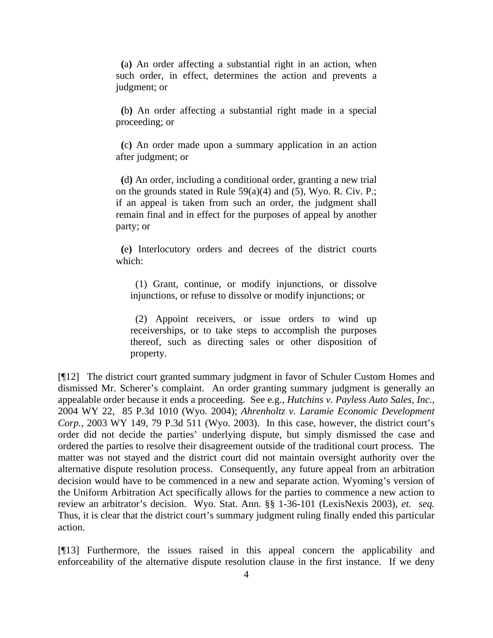**(**a**)** An order affecting a substantial right in an action, when such order, in effect, determines the action and prevents a judgment; or

 **(**b**)** An order affecting a substantial right made in a special proceeding; or

 **(**c**)** An order made upon a summary application in an action after judgment; or

 **(**d**)** An order, including a conditional order, granting a new trial on the grounds stated in Rule  $59(a)(4)$  and  $(5)$ , Wyo. R. Civ. P.; if an appeal is taken from such an order, the judgment shall remain final and in effect for the purposes of appeal by another party; or

 **(**e**)** Interlocutory orders and decrees of the district courts which:

 (1) Grant, continue, or modify injunctions, or dissolve injunctions, or refuse to dissolve or modify injunctions; or

 (2) Appoint receivers, or issue orders to wind up receiverships, or to take steps to accomplish the purposes thereof, such as directing sales or other disposition of property.

[¶12] The district court granted summary judgment in favor of Schuler Custom Homes and dismissed Mr. Scherer's complaint. An order granting summary judgment is generally an appealable order because it ends a proceeding. See e.g., *Hutchins v. Payless Auto Sales, Inc.,*  2004 WY 22, 85 P.3d 1010 (Wyo. 2004); *Ahrenholtz v. Laramie Economic Development Corp.*, 2003 WY 149, 79 P.3d 511 (Wyo. 2003). In this case, however, the district court's order did not decide the parties' underlying dispute, but simply dismissed the case and ordered the parties to resolve their disagreement outside of the traditional court process. The matter was not stayed and the district court did not maintain oversight authority over the alternative dispute resolution process. Consequently, any future appeal from an arbitration decision would have to be commenced in a new and separate action. Wyoming's version of the Uniform Arbitration Act specifically allows for the parties to commence a new action to review an arbitrator's decision. Wyo. Stat. Ann. §§ 1-36-101 (LexisNexis 2003), *et. seq.*  Thus, it is clear that the district court's summary judgment ruling finally ended this particular action.

[¶13] Furthermore, the issues raised in this appeal concern the applicability and enforceability of the alternative dispute resolution clause in the first instance. If we deny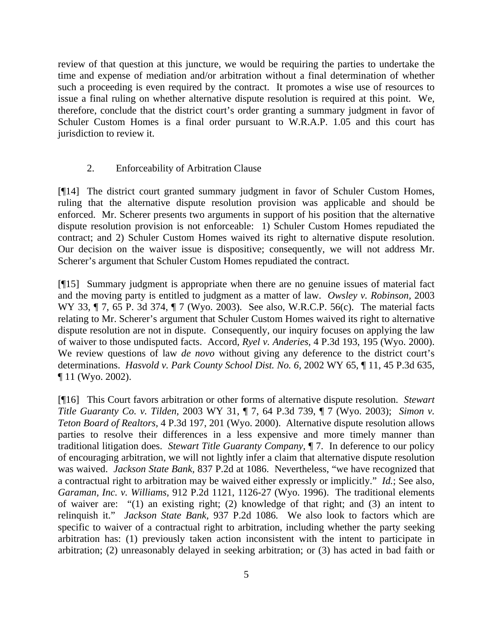review of that question at this juncture, we would be requiring the parties to undertake the time and expense of mediation and/or arbitration without a final determination of whether such a proceeding is even required by the contract. It promotes a wise use of resources to issue a final ruling on whether alternative dispute resolution is required at this point. We, therefore, conclude that the district court's order granting a summary judgment in favor of Schuler Custom Homes is a final order pursuant to W.R.A.P. 1.05 and this court has jurisdiction to review it.

### 2. Enforceability of Arbitration Clause

[¶14] The district court granted summary judgment in favor of Schuler Custom Homes, ruling that the alternative dispute resolution provision was applicable and should be enforced. Mr. Scherer presents two arguments in support of his position that the alternative dispute resolution provision is not enforceable: 1) Schuler Custom Homes repudiated the contract; and 2) Schuler Custom Homes waived its right to alternative dispute resolution. Our decision on the waiver issue is dispositive; consequently, we will not address Mr. Scherer's argument that Schuler Custom Homes repudiated the contract.

[¶15] Summary judgment is appropriate when there are no genuine issues of material fact and the moving party is entitled to judgment as a matter of law. *Owsley v. Robinson,* 2003 WY 33, ¶ 7, 65 P. 3d 374, ¶ 7 (Wyo. 2003). See also, W.R.C.P. 56(c). The material facts relating to Mr. Scherer's argument that Schuler Custom Homes waived its right to alternative dispute resolution are not in dispute. Consequently, our inquiry focuses on applying the law of waiver to those undisputed facts. Accord*, Ryel v. Anderies,* 4 P.3d 193, 195 (Wyo. 2000). We review questions of law *de novo* without giving any deference to the district court's determinations. *Hasvold v. Park County School Dist. No. 6,* 2002 WY 65, ¶ 11, 45 P.3d 635, ¶ 11 (Wyo. 2002).

[¶16] This Court favors arbitration or other forms of alternative dispute resolution. *Stewart Title Guaranty Co. v. Tilden,* 2003 WY 31, ¶ 7, 64 P.3d 739, ¶ 7 (Wyo. 2003); *Simon v. Teton Board of Realtors,* 4 P.3d 197, 201 (Wyo. 2000). Alternative dispute resolution allows parties to resolve their differences in a less expensive and more timely manner than traditional litigation does. *Stewart Title Guaranty Company,* ¶ 7. In deference to our policy of encouraging arbitration, we will not lightly infer a claim that alternative dispute resolution was waived. *Jackson State Bank,* 837 P.2d at 1086. Nevertheless, "we have recognized that a contractual right to arbitration may be waived either expressly or implicitly." *Id.*; See also, *Garaman, Inc. v. Williams,* 912 P.2d 1121, 1126-27 (Wyo. 1996). The traditional elements of waiver are: "(1) an existing right; (2) knowledge of that right; and (3) an intent to relinquish it." *Jackson State Bank,* 937 P.2d 1086*.* We also look to factors which are specific to waiver of a contractual right to arbitration, including whether the party seeking arbitration has: (1) previously taken action inconsistent with the intent to participate in arbitration; (2) unreasonably delayed in seeking arbitration; or (3) has acted in bad faith or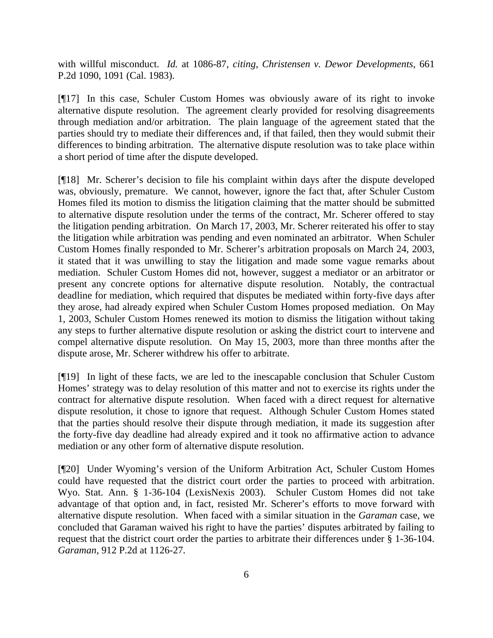with willful misconduct. *Id.* at 1086-87, *citing, Christensen v. Dewor Developments,* 661 P.2d 1090, 1091 (Cal. 1983).

[¶17] In this case, Schuler Custom Homes was obviously aware of its right to invoke alternative dispute resolution. The agreement clearly provided for resolving disagreements through mediation and/or arbitration. The plain language of the agreement stated that the parties should try to mediate their differences and, if that failed, then they would submit their differences to binding arbitration. The alternative dispute resolution was to take place within a short period of time after the dispute developed.

[¶18] Mr. Scherer's decision to file his complaint within days after the dispute developed was, obviously, premature. We cannot, however, ignore the fact that, after Schuler Custom Homes filed its motion to dismiss the litigation claiming that the matter should be submitted to alternative dispute resolution under the terms of the contract, Mr. Scherer offered to stay the litigation pending arbitration. On March 17, 2003, Mr. Scherer reiterated his offer to stay the litigation while arbitration was pending and even nominated an arbitrator. When Schuler Custom Homes finally responded to Mr. Scherer's arbitration proposals on March 24, 2003, it stated that it was unwilling to stay the litigation and made some vague remarks about mediation. Schuler Custom Homes did not, however, suggest a mediator or an arbitrator or present any concrete options for alternative dispute resolution. Notably, the contractual deadline for mediation, which required that disputes be mediated within forty-five days after they arose, had already expired when Schuler Custom Homes proposed mediation. On May 1, 2003, Schuler Custom Homes renewed its motion to dismiss the litigation without taking any steps to further alternative dispute resolution or asking the district court to intervene and compel alternative dispute resolution. On May 15, 2003, more than three months after the dispute arose, Mr. Scherer withdrew his offer to arbitrate.

[¶19] In light of these facts, we are led to the inescapable conclusion that Schuler Custom Homes' strategy was to delay resolution of this matter and not to exercise its rights under the contract for alternative dispute resolution. When faced with a direct request for alternative dispute resolution, it chose to ignore that request. Although Schuler Custom Homes stated that the parties should resolve their dispute through mediation, it made its suggestion after the forty-five day deadline had already expired and it took no affirmative action to advance mediation or any other form of alternative dispute resolution.

[¶20] Under Wyoming's version of the Uniform Arbitration Act, Schuler Custom Homes could have requested that the district court order the parties to proceed with arbitration. Wyo. Stat. Ann. § 1-36-104 (LexisNexis 2003). Schuler Custom Homes did not take advantage of that option and, in fact, resisted Mr. Scherer's efforts to move forward with alternative dispute resolution. When faced with a similar situation in the *Garaman* case, we concluded that Garaman waived his right to have the parties' disputes arbitrated by failing to request that the district court order the parties to arbitrate their differences under § 1-36-104. *Garaman,* 912 P.2d at 1126-27.